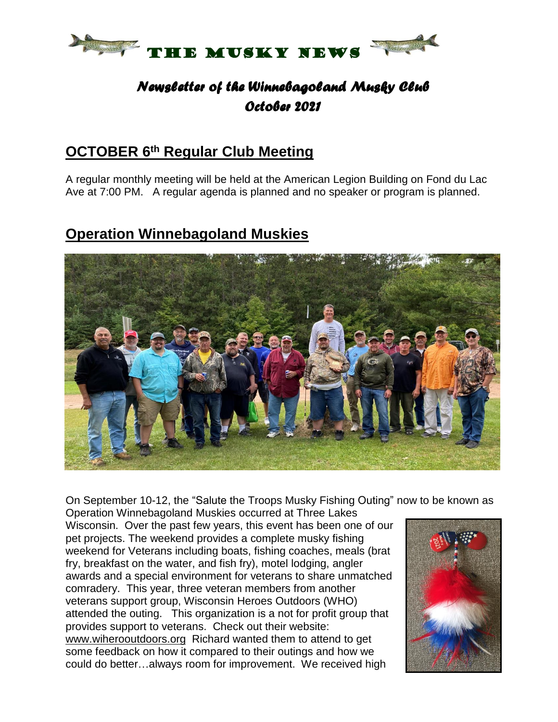

# *Newsletter of the Winnebagoland Musky Club October 2021*

# **OCTOBER 6 th Regular Club Meeting**

A regular monthly meeting will be held at the American Legion Building on Fond du Lac Ave at 7:00 PM. A regular agenda is planned and no speaker or program is planned.

# **Operation Winnebagoland Muskies**



On September 10-12, the "Salute the Troops Musky Fishing Outing" now to be known as

Operation Winnebagoland Muskies occurred at Three Lakes Wisconsin. Over the past few years, this event has been one of our pet projects. The weekend provides a complete musky fishing weekend for Veterans including boats, fishing coaches, meals (brat fry, breakfast on the water, and fish fry), motel lodging, angler awards and a special environment for veterans to share unmatched comradery. This year, three veteran members from another veterans support group, Wisconsin Heroes Outdoors (WHO) attended the outing. This organization is a not for profit group that provides support to veterans. Check out their website: [www.wiherooutdoors.org](http://www.wiherooutdoors.org/) Richard wanted them to attend to get some feedback on how it compared to their outings and how we could do better…always room for improvement. We received high

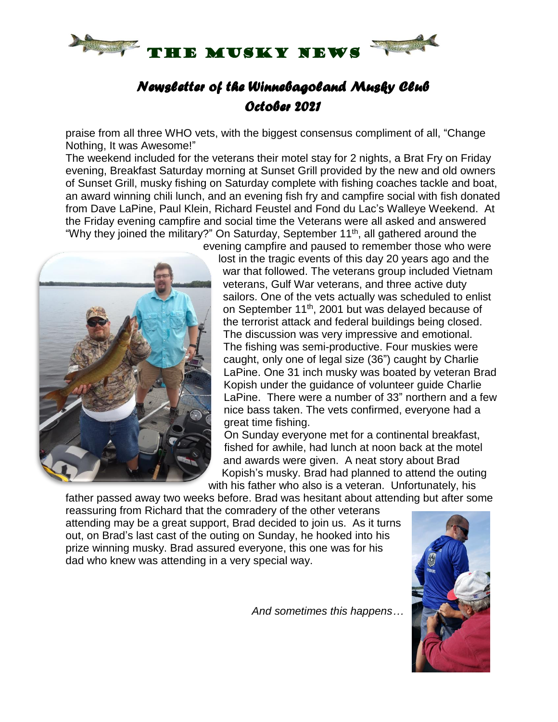

# *Newsletter of the Winnebagoland Musky Club October 2021*

praise from all three WHO vets, with the biggest consensus compliment of all, "Change Nothing, It was Awesome!"

The weekend included for the veterans their motel stay for 2 nights, a Brat Fry on Friday evening, Breakfast Saturday morning at Sunset Grill provided by the new and old owners of Sunset Grill, musky fishing on Saturday complete with fishing coaches tackle and boat, an award winning chili lunch, and an evening fish fry and campfire social with fish donated from Dave LaPine, Paul Klein, Richard Feustel and Fond du Lac's Walleye Weekend. At the Friday evening campfire and social time the Veterans were all asked and answered "Why they joined the military?" On Saturday, September 11<sup>th</sup>, all gathered around the



evening campfire and paused to remember those who were lost in the tragic events of this day 20 years ago and the war that followed. The veterans group included Vietnam veterans, Gulf War veterans, and three active duty sailors. One of the vets actually was scheduled to enlist on September 11<sup>th</sup>, 2001 but was delayed because of the terrorist attack and federal buildings being closed. The discussion was very impressive and emotional. The fishing was semi-productive. Four muskies were caught, only one of legal size (36") caught by Charlie LaPine. One 31 inch musky was boated by veteran Brad Kopish under the guidance of volunteer guide Charlie LaPine. There were a number of 33" northern and a few nice bass taken. The vets confirmed, everyone had a great time fishing.

On Sunday everyone met for a continental breakfast, fished for awhile, had lunch at noon back at the motel and awards were given. A neat story about Brad Kopish's musky. Brad had planned to attend the outing with his father who also is a veteran. Unfortunately, his

father passed away two weeks before. Brad was hesitant about attending but after some reassuring from Richard that the comradery of the other veterans attending may be a great support, Brad decided to join us. As it turns out, on Brad's last cast of the outing on Sunday, he hooked into his prize winning musky. Brad assured everyone, this one was for his dad who knew was attending in a very special way.

*And sometimes this happens…*